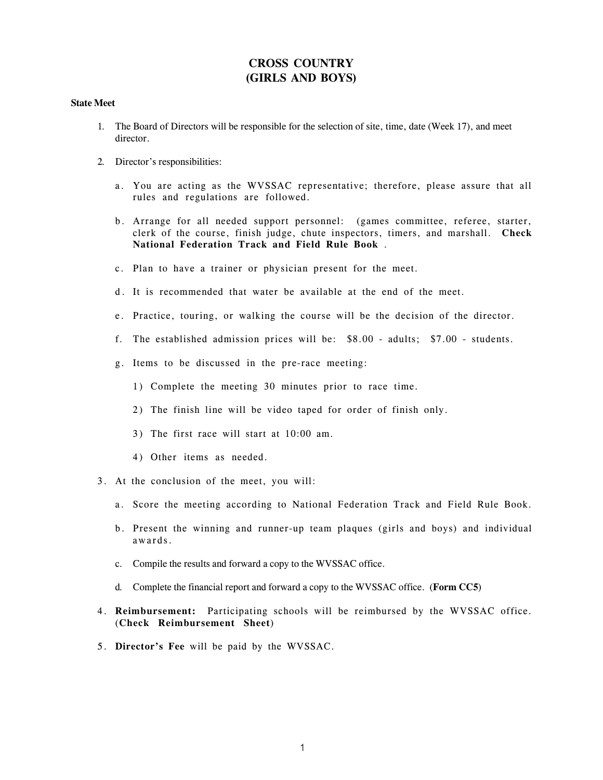## **CROSS COUNTRY (GIRLS AND BOYS)**

## **State Meet**

- 1. The Board of Directors will be responsible for the selection of site, time, date (Week 17), and meet director.
- 2. Director's responsibilities:
	- a. You are acting as the WVSSAC representative; therefore, please assure that all rules and regulations are followed.
	- b. Arrange for all needed support personnel: (games committee, referee, starter, clerk of the course, finish judge, chute inspectors, timers, and marshall. **Check National Federation Track and Field Rule Book** .
	- c. Plan to have a trainer or physician present for the meet.
	- d. It is recommended that water be available at the end of the meet.
	- e. Practice, touring, or walking the course will be the decision of the director.
	- f. The established admission prices will be: \$8.00 adults; \$7.00 students.
	- g. Items to be discussed in the pre-race meeting:
		- 1) Complete the meeting 30 minutes prior to race time.
		- 2) The finish line will be video taped for order of finish only.
		- 3) The first race will start at 10:00 am.
		- 4) Other items as needed.
- 3. At the conclusion of the meet, you will:
	- a. Score the meeting according to National Federation Track and Field Rule Book.
	- b. Present the winning and runner-up team plaques (girls and boys) and individual awards.
	- c. Compile the results and forward a copy to the WVSSAC office.
	- d. Complete the financial report and forward a copy to the WVSSAC office. (**Form CC5**)
- 4. **Reimbursement:** Participating schools will be reimbursed by the WVSSAC office. (**Check Reimbursement Sheet**)
- 5. **Director's Fee** will be paid by the WVSSAC.